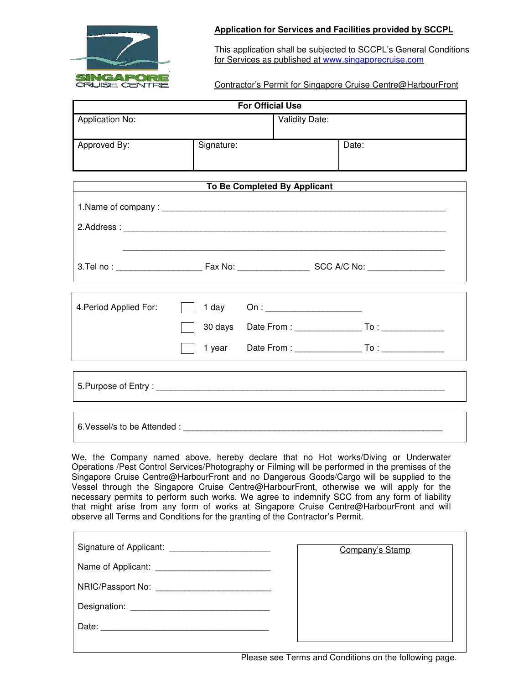

## **Application for Services and Facilities provided by SCCPL**

This application shall be subjected to SCCPL's General Conditions for Services as published at www.singaporecruise.com

Contractor's Permit for Singapore Cruise Centre@HarbourFront

| <b>For Official Use</b> |            |                       |       |  |  |  |
|-------------------------|------------|-----------------------|-------|--|--|--|
| <b>Application No:</b>  |            | <b>Validity Date:</b> |       |  |  |  |
| Approved By:            | Signature: |                       | Date: |  |  |  |

| To Be Completed By Applicant |         |                                |                |  |  |
|------------------------------|---------|--------------------------------|----------------|--|--|
|                              |         |                                |                |  |  |
|                              |         |                                |                |  |  |
|                              |         |                                |                |  |  |
|                              |         |                                |                |  |  |
|                              |         |                                |                |  |  |
| 4. Period Applied For:       | 1 day   | On : _________________________ |                |  |  |
|                              | 30 days |                                |                |  |  |
|                              | 1 year  | Date From : ___________        | $\mathsf{To}:$ |  |  |

5. Purpose of Entry :

6.Vessel/s to be Attended : \_\_\_\_\_\_\_\_\_\_\_\_\_\_\_\_\_\_\_\_\_\_\_\_\_\_\_\_\_\_\_\_\_\_\_\_\_\_\_\_\_\_\_\_\_\_\_\_\_\_\_\_\_\_

We, the Company named above, hereby declare that no Hot works/Diving or Underwater Operations /Pest Control Services/Photography or Filming will be performed in the premises of the Singapore Cruise Centre@HarbourFront and no Dangerous Goods/Cargo will be supplied to the Vessel through the Singapore Cruise Centre@HarbourFront, otherwise we will apply for the necessary permits to perform such works. We agree to indemnify SCC from any form of liability that might arise from any form of works at Singapore Cruise Centre@HarbourFront and will observe all Terms and Conditions for the granting of the Contractor's Permit.

|                                       | Company's Stamp |
|---------------------------------------|-----------------|
|                                       |                 |
|                                       |                 |
| Designation: <u>www.community.com</u> |                 |
| Date:                                 |                 |
|                                       |                 |

Please see Terms and Conditions on the following page.